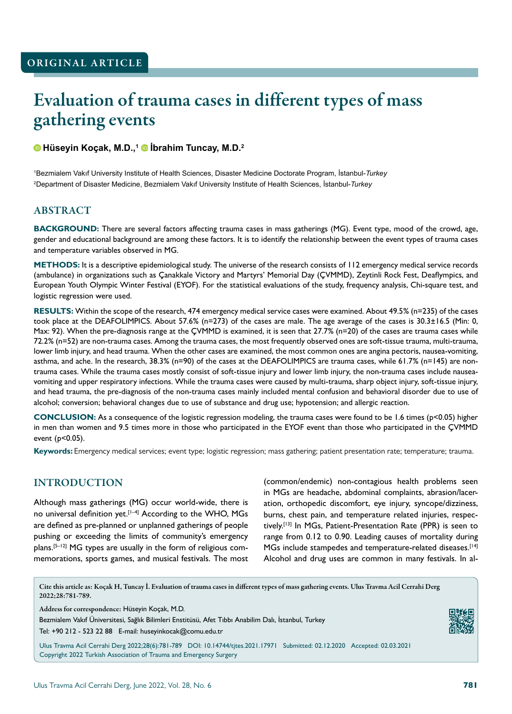# Evaluation of trauma cases in different types of mass gathering events

#### **Hüseyin Koçak, M.D.,1 İbrahim Tuncay, M.D.<sup>2</sup>**

1 Bezmialem Vakıf University Institute of Health Sciences, Disaster Medicine Doctorate Program, İstanbul-*Turkey* 2 Department of Disaster Medicine, Bezmialem Vakıf University Institute of Health Sciences, İstanbul-*Turkey*

#### ABSTRACT

**BACKGROUND:** There are several factors affecting trauma cases in mass gatherings (MG). Event type, mood of the crowd, age, gender and educational background are among these factors. It is to identify the relationship between the event types of trauma cases and temperature variables observed in MG.

**METHODS:** It is a descriptive epidemiological study. The universe of the research consists of 112 emergency medical service records (ambulance) in organizations such as Çanakkale Victory and Martyrs' Memorial Day (ÇVMMD), Zeytinli Rock Fest, Deaflympics, and European Youth Olympic Winter Festival (EYOF). For the statistical evaluations of the study, frequency analysis, Chi-square test, and logistic regression were used.

**RESULTS:** Within the scope of the research, 474 emergency medical service cases were examined. About 49.5% (n=235) of the cases took place at the DEAFOLIMPICS. About 57.6% (n=273) of the cases are male. The age average of the cases is 30.3±16.5 (Min: 0, Max: 92). When the pre-diagnosis range at the CVMMD is examined, it is seen that 27.7% (n=20) of the cases are trauma cases while 72.2% (n=52) are non-trauma cases. Among the trauma cases, the most frequently observed ones are soft-tissue trauma, multi-trauma, lower limb injury, and head trauma. When the other cases are examined, the most common ones are angina pectoris, nausea-vomiting, asthma, and ache. In the research, 38.3% (n=90) of the cases at the DEAFOLIMPICS are trauma cases, while 61.7% (n=145) are nontrauma cases. While the trauma cases mostly consist of soft-tissue injury and lower limb injury, the non-trauma cases include nauseavomiting and upper respiratory infections. While the trauma cases were caused by multi-trauma, sharp object injury, soft-tissue injury, and head trauma, the pre-diagnosis of the non-trauma cases mainly included mental confusion and behavioral disorder due to use of alcohol; conversion; behavioral changes due to use of substance and drug use; hypotension; and allergic reaction.

**CONCLUSION:** As a consequence of the logistic regression modeling, the trauma cases were found to be 1.6 times (p<0.05) higher in men than women and 9.5 times more in those who participated in the EYOF event than those who participated in the ÇVMMD event (p<0.05).

**Keywords:** Emergency medical services; event type; logistic regression; mass gathering; patient presentation rate; temperature; trauma.

# INTRODUCTION

Although mass gatherings (MG) occur world-wide, there is no universal definition yet.<sup>[1-4]</sup> According to the WHO, MGs are defined as pre-planned or unplanned gatherings of people pushing or exceeding the limits of community's emergency plans.<sup>[5-12]</sup> MG types are usually in the form of religious commemorations, sports games, and musical festivals. The most (common/endemic) non-contagious health problems seen in MGs are headache, abdominal complaints, abrasion/laceration, orthopedic discomfort, eye injury, syncope/dizziness, burns, chest pain, and temperature related injuries, respectively.[13] In MGs, Patient-Presentation Rate (PPR) is seen to range from 0.12 to 0.90. Leading causes of mortality during MGs include stampedes and temperature-related diseases.<sup>[14]</sup> Alcohol and drug uses are common in many festivals. In al-

Cite this article as: Koçak H, Tuncay İ. Evaluation of trauma cases in different types of mass gathering events. Ulus Travma Acil Cerrahi Derg 2022;28:781-789.

Address for correspondence: Hüseyin Koçak, M.D.

Bezmialem Vakıf Üniversitesi, Sağlık Bilimleri Enstitüsü, Afet Tıbbı Anabilim Dalı, İstanbul, Turkey Tel: +90 212 - 523 22 88 E-mail: huseyinkocak@comu.edu.tr

Ulus Travma Acil Cerrahi Derg 2022;28(6):781-789 DOI: 10.14744/tjtes.2021.17971 Submitted: 02.12.2020 Accepted: 02.03.2021 Copyright 2022 Turkish Association of Trauma and Emergency Surgery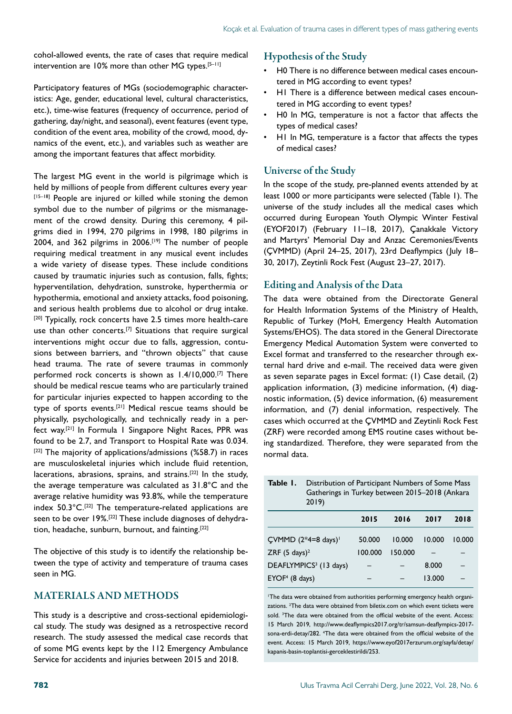cohol-allowed events, the rate of cases that require medical intervention are  $10\%$  more than other MG types.<sup>[5-11]</sup>

Participatory features of MGs (sociodemographic characteristics: Age, gender, educational level, cultural characteristics, etc.), time-wise features (frequency of occurrence, period of gathering, day/night, and seasonal), event features (event type, condition of the event area, mobility of the crowd, mood, dynamics of the event, etc.), and variables such as weather are among the important features that affect morbidity.

The largest MG event in the world is pilgrimage which is held by millions of people from different cultures every year. [15-18] People are injured or killed while stoning the demon symbol due to the number of pilgrims or the mismanagement of the crowd density. During this ceremony, 4 pilgrims died in 1994, 270 pilgrims in 1998, 180 pilgrims in 2004, and 362 pilgrims in 2006.<sup>[19]</sup> The number of people requiring medical treatment in any musical event includes a wide variety of disease types. These include conditions caused by traumatic injuries such as contusion, falls, fights; hyperventilation, dehydration, sunstroke, hyperthermia or hypothermia, emotional and anxiety attacks, food poisoning, and serious health problems due to alcohol or drug intake. [20] Typically, rock concerts have 2.5 times more health-care use than other concerts.<sup>[7]</sup> Situations that require surgical interventions might occur due to falls, aggression, contusions between barriers, and "thrown objects" that cause head trauma. The rate of severe traumas in commonly performed rock concerts is shown as 1.4/10,000.<sup>[7]</sup> There should be medical rescue teams who are particularly trained for particular injuries expected to happen according to the type of sports events.[21] Medical rescue teams should be physically, psychologically, and technically ready in a perfect way.[21] In Formula 1 Singapore Night Races, PPR was found to be 2.7, and Transport to Hospital Rate was 0.034.  $[22]$  The majority of applications/admissions (%58.7) in races are musculoskeletal injuries which include fluid retention, lacerations, abrasions, sprains, and strains.[22] In the study, the average temperature was calculated as 31.8°C and the average relative humidity was 93.8%, while the temperature index  $50.3^{\circ}C$ .<sup>[22]</sup> The temperature-related applications are seen to be over 19%.<sup>[22]</sup> These include diagnoses of dehydration, headache, sunburn, burnout, and fainting.<sup>[22]</sup>

The objective of this study is to identify the relationship between the type of activity and temperature of trauma cases seen in MG.

# MATERIALS AND METHODS

This study is a descriptive and cross-sectional epidemiological study. The study was designed as a retrospective record research. The study assessed the medical case records that of some MG events kept by the 112 Emergency Ambulance Service for accidents and injuries between 2015 and 2018.

#### Hypothesis of the Study

- H0 There is no difference between medical cases encountered in MG according to event types?
- H1 There is a difference between medical cases encountered in MG according to event types?
- H0 In MG, temperature is not a factor that affects the types of medical cases?
- H1 In MG, temperature is a factor that affects the types of medical cases?

# Universe of the Study

In the scope of the study, pre-planned events attended by at least 1000 or more participants were selected (Table 1). The universe of the study includes all the medical cases which occurred during European Youth Olympic Winter Festival (EYOF2017) (February 11–18, 2017), Çanakkale Victory and Martyrs' Memorial Day and Anzac Ceremonies/Events (ÇVMMD) (April 24–25, 2017), 23rd Deaflympics (July 18– 30, 2017), Zeytinli Rock Fest (August 23–27, 2017).

#### Editing and Analysis of the Data

The data were obtained from the Directorate General for Health Information Systems of the Ministry of Health, Republic of Turkey (MoH, Emergency Health Automation Systems/EHOS). The data stored in the General Directorate Emergency Medical Automation System were converted to Excel format and transferred to the researcher through external hard drive and e-mail. The received data were given as seven separate pages in Excel format: (1) Case detail, (2) application information, (3) medicine information, (4) diagnostic information, (5) device information, (6) measurement information, and (7) denial information, respectively. The cases which occurred at the ÇVMMD and Zeytinli Rock Fest (ZRF) were recorded among EMS routine cases without being standardized. Therefore, they were separated from the normal data.

**Table 1.** Distribution of Participant Numbers of Some Mass Gatherings in Turkey between 2015–2018 (Ankara 2019)

| 2011                               |         |         |        |        |
|------------------------------------|---------|---------|--------|--------|
|                                    | 2015    | 2016    | 2017   | 2018   |
| CVMMD $(2*4=8$ days) <sup>1</sup>  | 50.000  | 10.000  | 10.000 | 10.000 |
| ZRF $(5 \text{ days})^2$           | 100.000 | 150.000 |        |        |
| DEAFLYMPICS <sup>3</sup> (13 days) |         |         | 8.000  |        |
| $EYOF4$ (8 days)                   |         |         | 13.000 |        |
|                                    |         |         |        |        |

1 The data were obtained from authorities performing emergency health organizations. 2 The data were obtained from biletix.com on which event tickets were sold. <sup>3</sup>The data were obtained from the official website of the event. Access: 15 March 2019, http://www.deaflympics2017.org/tr/samsun-deaflympics-2017 sona-erdi-detay/282. 4 The data were obtained from the official website of the event. Access: 15 March 2019, https://www.eyof2017erzurum.org/sayfa/detay/ kapanis-basin-toplantisi-gerceklestirildi/253.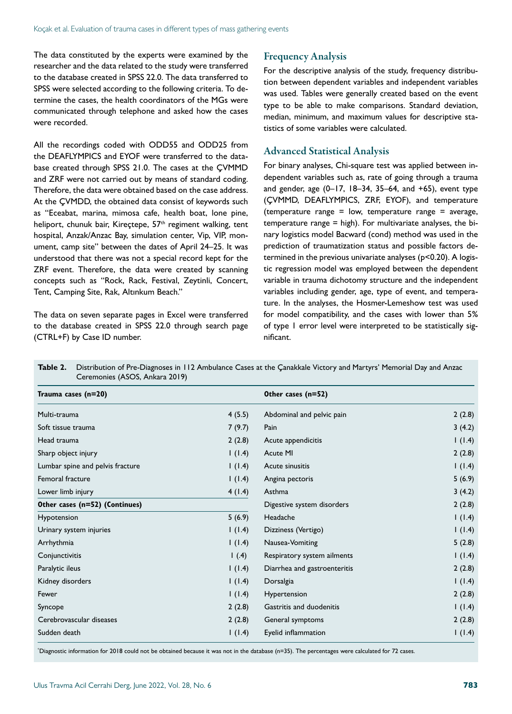The data constituted by the experts were examined by the researcher and the data related to the study were transferred to the database created in SPSS 22.0. The data transferred to SPSS were selected according to the following criteria. To determine the cases, the health coordinators of the MGs were communicated through telephone and asked how the cases were recorded.

All the recordings coded with ODD55 and ODD25 from the DEAFLYMPICS and EYOF were transferred to the database created through SPSS 21.0. The cases at the ÇVMMD and ZRF were not carried out by means of standard coding. Therefore, the data were obtained based on the case address. At the ÇVMDD, the obtained data consist of keywords such as "Eceabat, marina, mimosa cafe, health boat, lone pine, heliport, chunuk bair, Kireçtepe, 57<sup>th</sup> regiment walking, tent hospital, Anzak/Anzac Bay, simulation center, Vip, VIP, monument, camp site" between the dates of April 24–25. It was understood that there was not a special record kept for the ZRF event. Therefore, the data were created by scanning concepts such as "Rock, Rack, Festival, Zeytinli, Concert, Tent, Camping Site, Rak, Altınkum Beach."

The data on seven separate pages in Excel were transferred to the database created in SPSS 22.0 through search page (CTRL+F) by Case ID number.

#### Frequency Analysis

For the descriptive analysis of the study, frequency distribution between dependent variables and independent variables was used. Tables were generally created based on the event type to be able to make comparisons. Standard deviation, median, minimum, and maximum values for descriptive statistics of some variables were calculated.

#### Advanced Statistical Analysis

For binary analyses, Chi-square test was applied between independent variables such as, rate of going through a trauma and gender, age (0–17, 18–34, 35–64, and +65), event type (ÇVMMD, DEAFLYMPICS, ZRF, EYOF), and temperature (temperature range = low, temperature range = average, temperature range = high). For multivariate analyses, the binary logistics model Bacward (cond) method was used in the prediction of traumatization status and possible factors determined in the previous univariate analyses (p<0.20). A logistic regression model was employed between the dependent variable in trauma dichotomy structure and the independent variables including gender, age, type of event, and temperature. In the analyses, the Hosmer-Lemeshow test was used for model compatibility, and the cases with lower than 5% of type 1 error level were interpreted to be statistically significant.

| Table 2. | Distribution of Pre-Diagnoses in 112 Ambulance Cases at the Çanakkale Victory and Martyrs' Memorial Day and Anzac |
|----------|-------------------------------------------------------------------------------------------------------------------|
|          | Ceremonies (ASOS, Ankara 2019)                                                                                    |

| Trauma cases (n=20)              |        | Other cases (n=52)           |        |
|----------------------------------|--------|------------------------------|--------|
| Multi-trauma                     | 4(5.5) | Abdominal and pelvic pain    | 2(2.8) |
| Soft tissue trauma               | 7(9.7) | Pain                         | 3(4.2) |
| Head trauma                      | 2(2.8) | Acute appendicitis           | 1(1.4) |
| Sharp object injury              | 1(1.4) | Acute MI                     | 2(2.8) |
| Lumbar spine and pelvis fracture | 1(1.4) | Acute sinusitis              | 1(1.4) |
| Femoral fracture                 | 1(1.4) | Angina pectoris              | 5(6.9) |
| Lower limb injury                | 4(1.4) | Asthma                       | 3(4.2) |
| Other cases (n=52) (Continues)   |        | Digestive system disorders   | 2(2.8) |
| Hypotension                      | 5(6.9) | Headache                     | 1(1.4) |
| Urinary system injuries          | 1(1.4) | Dizziness (Vertigo)          | 1(1.4) |
| Arrhythmia                       | 1(1.4) | Nausea-Vomiting              | 5(2.8) |
| Conjunctivitis                   | 1(4)   | Respiratory system ailments  | 1(1.4) |
| Paralytic ileus                  | 1(1.4) | Diarrhea and gastroenteritis | 2(2.8) |
| Kidney disorders                 | 1(1.4) | Dorsalgia                    | 1(1.4) |
| Fewer                            | 1(1.4) | Hypertension                 | 2(2.8) |
| Syncope                          | 2(2.8) | Gastritis and duodenitis     | 1(1.4) |
| Cerebrovascular diseases         | 2(2.8) | General symptoms             | 2(2.8) |
| Sudden death                     | (1.4)  | Eyelid inflammation          | 1(1.4) |

\* Diagnostic information for 2018 could not be obtained because it was not in the database (n=35). The percentages were calculated for 72 cases.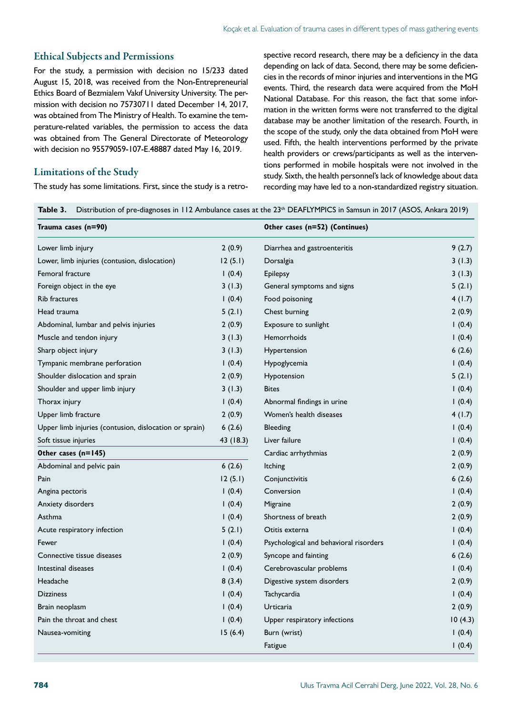#### Ethical Subjects and Permissions

For the study, a permission with decision no 15/233 dated August 15, 2018, was received from the Non-Entrepreneurial Ethics Board of Bezmialem Vakıf University University. The permission with decision no 75730711 dated December 14, 2017, was obtained from The Ministry of Health. To examine the temperature-related variables, the permission to access the data was obtained from The General Directorate of Meteorology with decision no 95579059-107-E.48887 dated May 16, 2019.

#### Limitations of the Study

The study has some limitations. First, since the study is a retro-

spective record research, there may be a deficiency in the data depending on lack of data. Second, there may be some deficiencies in the records of minor injuries and interventions in the MG events. Third, the research data were acquired from the MoH National Database. For this reason, the fact that some information in the written forms were not transferred to the digital database may be another limitation of the research. Fourth, in the scope of the study, only the data obtained from MoH were used. Fifth, the health interventions performed by the private health providers or crews/participants as well as the interventions performed in mobile hospitals were not involved in the study. Sixth, the health personnel's lack of knowledge about data recording may have led to a non-standardized registry situation.

Table 3. Distribution of pre-diagnoses in 112 Ambulance cases at the 23<sup>th</sup> DEAFLYMPICS in Samsun in 2017 (ASOS, Ankara 2019)

| Trauma cases (n=90)                                    |           | Other cases (n=52) (Continues)         |         |
|--------------------------------------------------------|-----------|----------------------------------------|---------|
| Lower limb injury                                      | 2(0.9)    | Diarrhea and gastroenteritis           | 9(2.7)  |
| Lower, limb injuries (contusion, dislocation)          | 12(5.1)   | Dorsalgia                              | 3(1.3)  |
| Femoral fracture                                       | 1(0.4)    | Epilepsy                               | 3(1.3)  |
| Foreign object in the eye                              | 3(1.3)    | General symptoms and signs             | 5(2.1)  |
| <b>Rib fractures</b>                                   | 1(0.4)    | Food poisoning                         | 4(1.7)  |
| Head trauma                                            | 5(2.1)    | Chest burning                          | 2(0.9)  |
| Abdominal, lumbar and pelvis injuries                  | 2(0.9)    | Exposure to sunlight                   | 1(0.4)  |
| Muscle and tendon injury                               | 3(1.3)    | <b>Hemorrhoids</b>                     | 1(0.4)  |
| Sharp object injury                                    | 3(1.3)    | Hypertension                           | 6(2.6)  |
| Tympanic membrane perforation                          | 1(0.4)    | Hypoglycemia                           | 1(0.4)  |
| Shoulder dislocation and sprain                        | 2(0.9)    | Hypotension                            | 5(2.1)  |
| Shoulder and upper limb injury                         | 3(1.3)    | <b>Bites</b>                           | 1(0.4)  |
| Thorax injury                                          | (0.4)     | Abnormal findings in urine             | 1(0.4)  |
| Upper limb fracture                                    | 2(0.9)    | Women's health diseases                | 4(1.7)  |
| Upper limb injuries (contusion, dislocation or sprain) | 6(2.6)    | <b>Bleeding</b>                        | 1(0.4)  |
| Soft tissue injuries                                   | 43 (18.3) | Liver failure                          | 1(0.4)  |
| Other cases (n=145)                                    |           | Cardiac arrhythmias                    | 2(0.9)  |
| Abdominal and pelvic pain                              | 6(2.6)    | Itching                                | 2(0.9)  |
| Pain                                                   | 12(5.1)   | Conjunctivitis                         | 6(2.6)  |
| Angina pectoris                                        | (0.4)     | Conversion                             | 1(0.4)  |
| Anxiety disorders                                      | 1(0.4)    | Migraine                               | 2(0.9)  |
| Asthma                                                 | 1(0.4)    | Shortness of breath                    | 2(0.9)  |
| Acute respiratory infection                            | 5(2.1)    | Otitis externa                         | 1(0.4)  |
| Fewer                                                  | 1(0.4)    | Psychological and behavioral risorders | 1(0.4)  |
| Connective tissue diseases                             | 2(0.9)    | Syncope and fainting                   | 6(2.6)  |
| Intestinal diseases                                    | 1(0.4)    | Cerebrovascular problems               | 1(0.4)  |
| Headache                                               | 8(3.4)    | Digestive system disorders             | 2(0.9)  |
| <b>Dizziness</b>                                       | (0.4)     | Tachycardia                            | 1(0.4)  |
| Brain neoplasm                                         | 1(0.4)    | Urticaria                              | 2(0.9)  |
| Pain the throat and chest                              | 1(0.4)    | Upper respiratory infections           | 10(4.3) |
| Nausea-vomiting                                        | 15(6.4)   | Burn (wrist)                           | 1(0.4)  |
|                                                        |           | Fatigue                                | 1(0.4)  |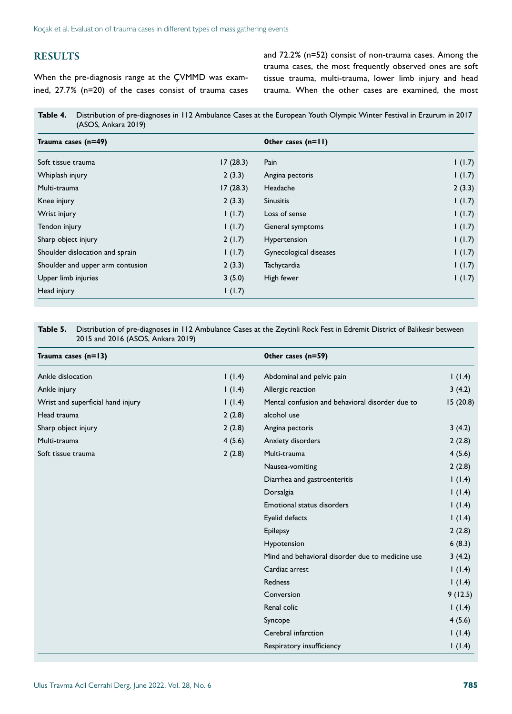# **RESULTS**

When the pre-diagnosis range at the ÇVMMD was examined, 27.7% (n=20) of the cases consist of trauma cases and 72.2% (n=52) consist of non-trauma cases. Among the trauma cases, the most frequently observed ones are soft tissue trauma, multi-trauma, lower limb injury and head trauma. When the other cases are examined, the most

| Table 4. Distribution of pre-diagnoses in 112 Ambulance Cases at the European Youth Olympic Winter Festival in Erzurum in 2017 |  |
|--------------------------------------------------------------------------------------------------------------------------------|--|
| (ASOS, Ankara 2019)                                                                                                            |  |

| Trauma cases (n=49)              |          | Other cases (n=11)     |        |
|----------------------------------|----------|------------------------|--------|
| Soft tissue trauma               | 17(28.3) | Pain                   | 1(1.7) |
| Whiplash injury                  | 2(3.3)   | Angina pectoris        | 1(1.7) |
| Multi-trauma                     | 17(28.3) | Headache               | 2(3.3) |
| Knee injury                      | 2(3.3)   | <b>Sinusitis</b>       | 1(1.7) |
| Wrist injury                     | 1(1.7)   | Loss of sense          | 1(1.7) |
| Tendon injury                    | 1(1.7)   | General symptoms       | 1(1.7) |
| Sharp object injury              | 2(1.7)   | Hypertension           | 1(1.7) |
| Shoulder dislocation and sprain  | 1(1.7)   | Gynecological diseases | 1(1.7) |
| Shoulder and upper arm contusion | 2(3.3)   | Tachycardia            | 1(1.7) |
| Upper limb injuries              | 3(5.0)   | High fewer             | 1(1.7) |
| Head injury                      | 1(1.7)   |                        |        |

#### **Table 5.** Distribution of pre-diagnoses in 112 Ambulance Cases at the Zeytinli Rock Fest in Edremit District of Balıkesir between 2015 and 2016 (ASOS, Ankara 2019)

| Trauma cases $(n=13)$             |        | Other cases (n=59)                               |          |
|-----------------------------------|--------|--------------------------------------------------|----------|
| Ankle dislocation                 | 1(1.4) | Abdominal and pelvic pain                        | 1(1.4)   |
| Ankle injury                      | 1(1.4) | Allergic reaction                                | 3(4.2)   |
| Wrist and superficial hand injury | 1(1.4) | Mental confusion and behavioral disorder due to  | 15(20.8) |
| Head trauma                       | 2(2.8) | alcohol use                                      |          |
| Sharp object injury               | 2(2.8) | Angina pectoris                                  | 3(4.2)   |
| Multi-trauma                      | 4(5.6) | Anxiety disorders                                | 2(2.8)   |
| Soft tissue trauma                | 2(2.8) | Multi-trauma                                     | 4(5.6)   |
|                                   |        | Nausea-vomiting                                  | 2(2.8)   |
|                                   |        | Diarrhea and gastroenteritis                     | 1(1.4)   |
|                                   |        | Dorsalgia                                        | 1(1.4)   |
|                                   |        | Emotional status disorders                       | 1(1.4)   |
|                                   |        | Eyelid defects                                   | 1(1.4)   |
|                                   |        | Epilepsy                                         | 2(2.8)   |
|                                   |        | Hypotension                                      | 6(8.3)   |
|                                   |        | Mind and behavioral disorder due to medicine use | 3(4.2)   |
|                                   |        | Cardiac arrest                                   | 1(1.4)   |
|                                   |        | Redness                                          | 1(1.4)   |
|                                   |        | Conversion                                       | 9(12.5)  |
|                                   |        | Renal colic                                      | 1(1.4)   |
|                                   |        | Syncope                                          | 4(5.6)   |
|                                   |        | Cerebral infarction                              | 1(1.4)   |
|                                   |        | Respiratory insufficiency                        | 1(1.4)   |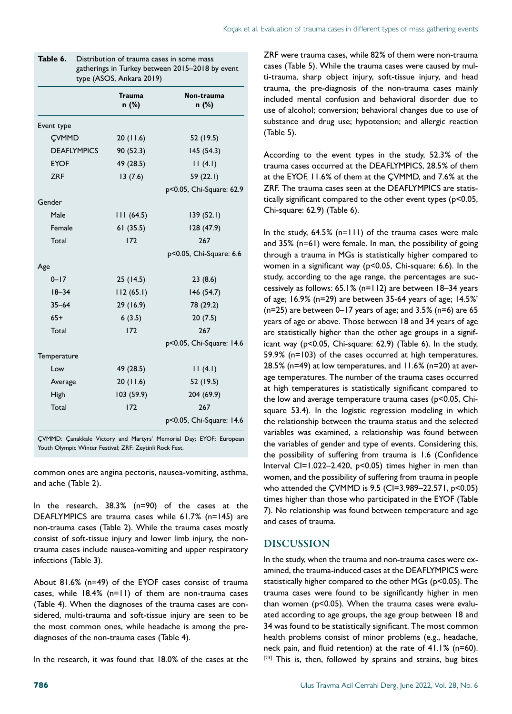|                    | <b>Trauma</b><br>n (%) | Non-trauma<br>n (%)      |
|--------------------|------------------------|--------------------------|
| Event type         |                        |                          |
| CVMMD              | 20(11.6)               | 52 (19.5)                |
| <b>DEAFLYMPICS</b> | 90 (52.3)              | 145(54.3)                |
| <b>EYOF</b>        | 49 (28.5)              | 11(4.1)                  |
| <b>ZRF</b>         | 13(7.6)                | 59 (22.1)                |
|                    |                        | p<0.05, Chi-Square: 62.9 |
| Gender             |                        |                          |
| Male               | 111(64.5)              | 139 (52.1)               |
| Female             | 61(35.5)               | 128 (47.9)               |
| Total              | 172                    | 267                      |
|                    |                        | p<0.05, Chi-Square: 6.6  |
| Age                |                        |                          |
| $0 - 17$           | 25(14.5)               | 23(8.6)                  |
| $18 - 34$          | 112(65.1)              | 146 (54.7)               |
| $35 - 64$          | 29 (16.9)              | 78 (29.2)                |
| $65+$              | 6(3.5)                 | 20(7.5)                  |
| Total              | 172                    | 267                      |
|                    |                        | p<0.05, Chi-Square: 14.6 |
| Temperature        |                        |                          |
| Low                | 49 (28.5)              | 11(4.1)                  |
| Average            | 20(11.6)               | 52 (19.5)                |
| High               | 103 (59.9)             | 204 (69.9)               |
| Total              | 172                    | 267                      |
|                    |                        | p<0.05, Chi-Square: 14.6 |

| Table 6. | Distribution of trauma cases in some mass       |
|----------|-------------------------------------------------|
|          | gatherings in Turkey between 2015–2018 by event |
|          | type (ASOS, Ankara 2019)                        |

ÇVMMD: Çanakkale Victory and Martyrs' Memorial Day; EYOF: European Youth Olympic Winter Festival; ZRF: Zeytinli Rock Fest.

common ones are angina pectoris, nausea-vomiting, asthma, and ache (Table 2).

In the research, 38.3% (n=90) of the cases at the DEAFLYMPICS are trauma cases while 61.7% (n=145) are non-trauma cases (Table 2). While the trauma cases mostly consist of soft-tissue injury and lower limb injury, the nontrauma cases include nausea-vomiting and upper respiratory infections (Table 3).

About 81.6% (n=49) of the EYOF cases consist of trauma cases, while 18.4% (n=11) of them are non-trauma cases (Table 4). When the diagnoses of the trauma cases are considered, multi-trauma and soft-tissue injury are seen to be the most common ones, while headache is among the prediagnoses of the non-trauma cases (Table 4).

In the research, it was found that 18.0% of the cases at the

ZRF were trauma cases, while 82% of them were non-trauma cases (Table 5). While the trauma cases were caused by multi-trauma, sharp object injury, soft-tissue injury, and head trauma, the pre-diagnosis of the non-trauma cases mainly included mental confusion and behavioral disorder due to use of alcohol; conversion; behavioral changes due to use of substance and drug use; hypotension; and allergic reaction (Table 5).

According to the event types in the study, 52.3% of the trauma cases occurred at the DEAFLYMPICS, 28.5% of them at the EYOF, 11.6% of them at the ÇVMMD, and 7.6% at the ZRF. The trauma cases seen at the DEAFLYMPICS are statistically significant compared to the other event types (p<0.05, Chi-square: 62.9) (Table 6).

In the study,  $64.5\%$  (n=111) of the trauma cases were male and 35% (n=61) were female. In man, the possibility of going through a trauma in MGs is statistically higher compared to women in a significant way (p<0.05, Chi-square: 6.6). In the study, according to the age range, the percentages are successively as follows: 65.1% (n=112) are between 18–34 years of age; 16.9% (n=29) are between 35-64 years of age; 14.5%' ( $n=25$ ) are between 0–17 years of age; and 3.5% ( $n=6$ ) are 65 years of age or above. Those between 18 and 34 years of age are statistically higher than the other age groups in a significant way (p<0.05, Chi-square: 62.9) (Table 6). In the study, 59.9% (n=103) of the cases occurred at high temperatures, 28.5% (n=49) at low temperatures, and 11.6% (n=20) at average temperatures. The number of the trauma cases occurred at high temperatures is statistically significant compared to the low and average temperature trauma cases (p<0.05, Chisquare 53.4). In the logistic regression modeling in which the relationship between the trauma status and the selected variables was examined, a relationship was found between the variables of gender and type of events. Considering this, the possibility of suffering from trauma is 1.6 (Confidence Interval CI=1.022–2.420,  $p<0.05$ ) times higher in men than women, and the possibility of suffering from trauma in people who attended the ÇVMMD is 9.5 (CI=3.989–22.571, p<0.05) times higher than those who participated in the EYOF (Table 7). No relationship was found between temperature and age and cases of trauma.

#### DISCUSSION

In the study, when the trauma and non-trauma cases were examined, the trauma-induced cases at the DEAFLYMPICS were statistically higher compared to the other MGs (p<0.05). The trauma cases were found to be significantly higher in men than women (p<0.05). When the trauma cases were evaluated according to age groups, the age group between 18 and 34 was found to be statistically significant. The most common health problems consist of minor problems (e.g., headache, neck pain, and fluid retention) at the rate of 41.1% (n=60). [23] This is, then, followed by sprains and strains, bug bites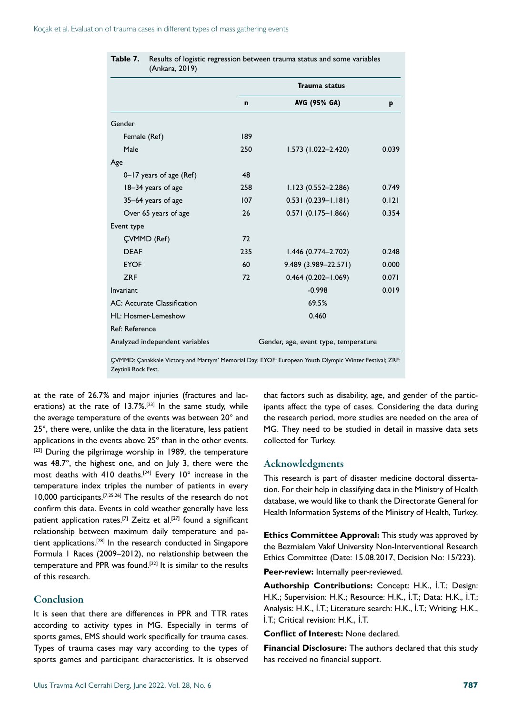|                                |             | Trauma status                        |       |
|--------------------------------|-------------|--------------------------------------|-------|
|                                | $\mathbf n$ | AVG (95% GA)                         | p     |
| Gender                         |             |                                      |       |
| Female (Ref)                   | 189         |                                      |       |
| Male                           | 250         | $1.573$ (1.022-2.420)                | 0.039 |
| Age                            |             |                                      |       |
| 0–17 years of age (Ref)        | 48          |                                      |       |
| 18-34 years of age             | 258         | $1.123(0.552 - 2.286)$               | 0.749 |
| 35–64 years of age             | 107         | $0.531(0.239 - 1.181)$               | 0.121 |
| Over 65 years of age           | 26          | $0.571(0.175 - 1.866)$               | 0.354 |
| Event type                     |             |                                      |       |
| <b>CVMMD</b> (Ref)             | 72          |                                      |       |
| <b>DFAF</b>                    | 235         | $1.446(0.774 - 2.702)$               | 0.248 |
| <b>EYOF</b>                    | 60          | 9.489 (3.989-22.571)                 | 0.000 |
| <b>7RF</b>                     | 72          | $0.464(0.202 - 1.069)$               | 0.071 |
| Invariant                      |             | $-0.998$                             | 0.019 |
| AC: Accurate Classification    |             | 69.5%                                |       |
| HL: Hosmer-Lemeshow            |             | 0.460                                |       |
| Ref: Reference                 |             |                                      |       |
| Analyzed independent variables |             | Gender, age, event type, temperature |       |

| <b>Table 7.</b> Results of logistic regression between trauma status and some variables |
|-----------------------------------------------------------------------------------------|
| (Ankara, 2019)                                                                          |

ÇVMMD: Çanakkale Victory and Martyrs' Memorial Day; EYOF: European Youth Olympic Winter Festival; ZRF: Zeytinli Rock Fest.

at the rate of 26.7% and major injuries (fractures and lacerations) at the rate of  $13.7\%$ <sup>[23]</sup> In the same study, while the average temperature of the events was between 20° and 25°, there were, unlike the data in the literature, less patient applications in the events above 25° than in the other events. [23] During the pilgrimage worship in 1989, the temperature was 48.7°, the highest one, and on July 3, there were the most deaths with 410 deaths.<sup>[24]</sup> Every  $10^{\circ}$  increase in the temperature index triples the number of patients in every 10,000 participants.[7,25,26] The results of the research do not confirm this data. Events in cold weather generally have less patient application rates.<sup>[7]</sup> Zeitz et al.<sup>[27]</sup> found a significant relationship between maximum daily temperature and patient applications.<sup>[28]</sup> In the research conducted in Singapore Formula 1 Races (2009–2012), no relationship between the temperature and PPR was found.<sup>[22]</sup> It is similar to the results of this research.

### Conclusion

It is seen that there are differences in PPR and TTR rates according to activity types in MG. Especially in terms of sports games, EMS should work specifically for trauma cases. Types of trauma cases may vary according to the types of sports games and participant characteristics. It is observed

Ulus Travma Acil Cerrahi Derg, June 2022, Vol. 28, No. 6 787

that factors such as disability, age, and gender of the participants affect the type of cases. Considering the data during the research period, more studies are needed on the area of MG. They need to be studied in detail in massive data sets collected for Turkey.

#### Acknowledgments

This research is part of disaster medicine doctoral dissertation. For their help in classifying data in the Ministry of Health database, we would like to thank the Directorate General for Health Information Systems of the Ministry of Health, Turkey.

**Ethics Committee Approval:** This study was approved by the Bezmialem Vakıf University Non-Interventional Research Ethics Committee (Date: 15.08.2017, Decision No: 15/223).

**Peer-review:** Internally peer-reviewed.

**Authorship Contributions:** Concept: H.K., İ.T.; Design: H.K.; Supervision: H.K.; Resource: H.K., İ.T.; Data: H.K., İ.T.; Analysis: H.K., İ.T.; Literature search: H.K., İ.T.; Writing: H.K., İ.T.; Critical revision: H.K., İ.T.

**Conflict of Interest:** None declared.

**Financial Disclosure:** The authors declared that this study has received no financial support.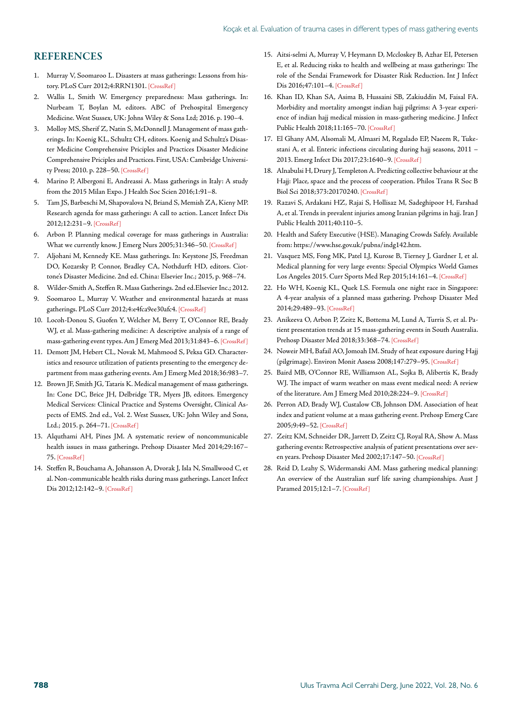#### **REFERENCES**

- 1. Murray V, Soomaroo L. Disasters at mass gatherings: Lessons from history. PLoS Curr 2012;4:RRN1301[. \[CrossRef \]](https://doi.org/10.1371/currents.RRN1301)
- 2. Wallis L, Smith W. Emergency preparedness: Mass gatherings. In: Nurbeam T, Boylan M, editors. ABC of Prehospital Emergency Medicine. West Sussex, UK: Johns Wiley & Sons Ltd; 2016. p. 190–4.
- 3. Molloy MS, Sherif Z, Natin S, McDonnell J. Management of mass gatherings. In: Koenig KL, Schultz CH, editors. Koenig and Schultz's Disaster Medicine Comprehensive Priciples and Practices Disaster Medicine Comprehensive Priciples and Practices. First, USA: Cambridge University Press; 2010. p. 228–50. [\[CrossRef \]](https://doi.org/10.1017/CBO9780511902482.019)
- 4. Marino P, Albergoni E, Andreassi A. Mass gatherings in Italy: A study from the 2015 Milan Expo. J Health Soc Scien 2016;1:91–8.
- 5. Tam JS, Barbeschi M, Shapovalova N, Briand S, Memish ZA, Kieny MP. Research agenda for mass gatherings: A call to action. Lancet Infect Dis 2012;12:231–9[. \[CrossRef \]](https://doi.org/10.1016/S1473-3099(11)70353-X)
- 6. Arbon P. Planning medical coverage for mass gatherings in Australia: What we currently know. J Emerg Nurs 2005;31:346–50[. \[CrossRef \]](https://doi.org/10.1016/j.jen.2005.03.002)
- 7. Aljohani M, Kennedy KE. Mass gatherings. In: Keystone JS, Freedman DO, Kozarsky P, Connor, Bradley CA, Nothdurft HD, editors. Ciottone's Disaster Medicine. 2nd ed. China: Elsevier Inc.; 2015, p. 968–74.
- 8. Wilder-Smith A, Steffen R. Mass Gatherings. 2nd ed.[Elsevier Inc.; 2012.](https://doi.org/10.1016/B978-1-4557-1076-8.00038-7)
- 9. Soomaroo L, Murray V. Weather and environmental hazards at mass gatherings. PLoS Curr 2012;4:e4fca9ee30afc[4. \[CrossRef \]](https://doi.org/10.1371/4fca9ee30afc4)
- 10. Locoh-Donou S, Guofen Y, Welcher M, Berry T, O'Connor RE, Brady WJ, et al. Mass-gathering medicine: A descriptive analysis of a range of mass-gathering event types. Am J Emerg Med 2013;31:843–[6. \[CrossRef \]](https://doi.org/10.1016/j.ajem.2013.01.016)
- 11. Demott JM, Hebert CL, Novak M, Mahmood S, Peksa GD. Characteristics and resource utilization of patients presenting to the emergency department from mass gathering events. Am J Emerg [Med 2018;36:983–7.](https://doi.org/10.1016/j.ajem.2017.11.006)
- 12. Brown JF, Smith JG, Tataris K. Medical management of mass gatherings. In: Cone DC, Brice JH, Delbridge TR, Myers JB, editors. Emergency Medical Services: Clinical Practice and Systems Oversight, Clinical Aspects of EMS. 2nd ed., Vol. 2. West Sussex, UK: John Wiley and Sons, Ltd.; 2015. p. 264–71[. \[CrossRef \]](https://doi.org/10.1002/9781118990810.ch101)
- 13. Alquthami AH, Pines JM. A systematic review of noncommunicable health issues in mass gatherings. Prehosp Disaster Med 2014;29:167– 75[. \[CrossRef \]](https://doi.org/10.1017/S1049023X14000144)
- 14. Steffen R, Bouchama A, Johansson A, Dvorak J, Isla N, Smallwood C, et al. Non-communicable health risks during mass gatherings. Lancet Infect Dis 2012;12:142-9. [CrossRef]
- 15. Aitsi-selmi A, Murray V, Heymann D, Mccloskey B, Azhar EI, Petersen E, et al. Reducing risks to health and wellbeing at mass gatherings: The role of the Sendai Framework for Disaster Risk Reduction. Int J Infect Dis 2016;47:101–[4. \[CrossRef \]](https://doi.org/10.1016/j.ijid.2016.04.006)
- 16. Khan ID, Khan SA, Asima B, Hussaini SB, Zakiuddin M, Faisal FA. Morbidity and mortality amongst indian hajj pilgrims: A 3-year experience of indian hajj medical mission in mass-gathering medicine. J Infect Public Health 2018;11:165–70[. \[CrossRef \]](https://doi.org/10.1016/j.jiph.2017.06.004)
- 17. El Ghany AM, Alsomali M, Almasri M, Regalado EP, Naeem R, Tukestani A, et al. Enteric infections circulating during hajj seasons, 2011 – 2013. Emerg Infect Dis 2017;23:1640[–9. \[CrossRef \]](https://doi.org/10.3201/eid2310.161642)
- 18. Alnabulsi H, Drury J, Templeton A. Predicting collective behaviour at the Hajj: Place, space and the process of cooperation. Philos Trans R Soc B Biol Sci 2018;373:20170240[. \[CrossRef \]](https://doi.org/10.1098/rstb.2017.0240)
- 19. Razavi S, Ardakani HZ, Rajai S, Hollisaz M, Sadeghipoor H, Farshad A, et al. Trends in prevalent injuries among Iranian pilgrims in hajj. Iran J Public Health 2011;40:110–5.
- 20. Health and Safety Executive (HSE). Managing Crowds Safely. Available from: https://www.hse.gov.uk/pubns/indg142.htm.
- 21. Vasquez MS, Fong MK, Patel LJ, Kurose B, Tierney J, Gardner I, et al. Medical planning for very large events: Special Olympics World Games Los Angeles 2015. Curr Sports Med Rep 2015;14:161–4[. \[CrossRef \]](https://doi.org/10.1249/JSR.0000000000000160)
- 22. Ho WH, Koenig KL, Quek LS. Formula one night race in Singapore: A 4-year analysis of a planned mass gathering. Prehosp Disaster Med 2014;29:489–9[3. \[CrossRef \]](https://doi.org/10.1017/S1049023X14000971)
- 23. Anikeeva O, Arbon P, Zeitz K, Bottema M, Lund A, Turris S, et al. Patient presentation trends at 15 mass-gathering events in South Australia. Prehosp Disaster Med 2018;33:368-74. [CrossRef]
- 24. Noweir MH, Bafail AO, Jomoah IM. Study of heat exposure during Hajj (pilgrimage). Environ Monit Assess 2008;147:279–95. [\[CrossRef \]](https://doi.org/10.1007/s10661-007-0120-6)
- 25. Baird MB, O'Connor RE, Williamson AL, Sojka B, Alibertis K, Brady WJ. The impact of warm weather on mass event medical need: A review of the literature. Am J Emerg Med 2010;28:224–9[. \[CrossRef \]](https://doi.org/10.1016/j.ajem.2008.10.034)
- 26. Perron AD, Brady WJ, Custalow CB, Johnson DM. Association of heat index and patient volume at a mass gathering event. Prehosp Emerg Care 2005;9:49–5[2. \[CrossRef \]](https://doi.org/10.1080/10903120590891976)
- 27. Zeitz KM, Schneider DR, Jarrett D, Zeitz CJ, Royal RA, Show A. Mass gathering events: Retrospective analysis of patient presentations over seven years. Prehosp Disaster Med 2002;17:147[–50. \[CrossRef \]](https://doi.org/10.1017/S1049023X00000376)
- 28. Reid D, Leahy S, Widermanski AM. Mass gathering medical planning: An overview of the Australian surf life saving championships. Aust J Paramed 2015;12:1[–7. \[CrossRef \]](https://doi.org/10.33151/ajp.12.2.216)